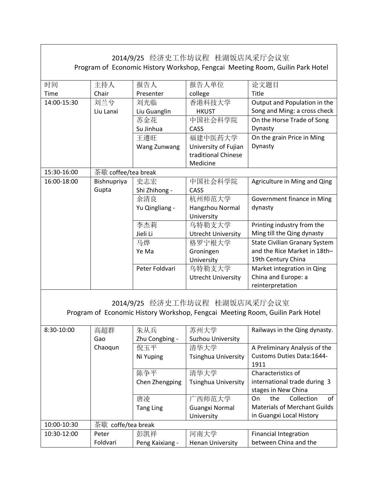| 2014/9/25 经济史工作坊议程 桂湖饭店风采厅会议室<br>Program of Economic History Workshop, Fengcai Meeting Room, Guilin Park Hotel |                     |                  |                                     |                                                                      |  |  |  |  |
|----------------------------------------------------------------------------------------------------------------|---------------------|------------------|-------------------------------------|----------------------------------------------------------------------|--|--|--|--|
| 时间                                                                                                             | 主持人                 | 报告人              | 报告人单位                               | 论文题目                                                                 |  |  |  |  |
| Time                                                                                                           | Chair               | Presenter        | college                             | Title                                                                |  |  |  |  |
| 14:00-15:30                                                                                                    | 刘兰兮                 | 刘光临              | 香港科技大学                              | Output and Population in the                                         |  |  |  |  |
|                                                                                                                | Liu Lanxi           | Liu Guanglin     | <b>HKUST</b>                        | Song and Ming: a cross check                                         |  |  |  |  |
|                                                                                                                |                     | 苏金花              | 中国社会科学院                             | On the Horse Trade of Song                                           |  |  |  |  |
|                                                                                                                |                     | Su Jinhua        | CASS                                | Dynasty                                                              |  |  |  |  |
|                                                                                                                |                     | 王遵旺              | 福建中医药大学                             | On the grain Price in Ming                                           |  |  |  |  |
|                                                                                                                |                     | Wang Zunwang     | University of Fujian                | Dynasty                                                              |  |  |  |  |
|                                                                                                                |                     |                  | traditional Chinese                 |                                                                      |  |  |  |  |
|                                                                                                                |                     |                  | Medicine                            |                                                                      |  |  |  |  |
| 15:30-16:00                                                                                                    | 茶歇 coffee/tea break |                  |                                     |                                                                      |  |  |  |  |
| 16:00-18:00                                                                                                    | Bishnupriya         | 史志宏              | 中国社会科学院                             | Agriculture in Ming and Qing                                         |  |  |  |  |
|                                                                                                                | Gupta               | Shi Zhihong -    | CASS                                |                                                                      |  |  |  |  |
|                                                                                                                |                     | 余清良              | 杭州师范大学                              | Government finance in Ming                                           |  |  |  |  |
|                                                                                                                |                     | Yu Qingliang -   | Hangzhou Normal                     | dynasty                                                              |  |  |  |  |
|                                                                                                                |                     |                  | University                          |                                                                      |  |  |  |  |
|                                                                                                                |                     | 李杰莉              | 乌特勒支大学                              | Printing industry from the                                           |  |  |  |  |
|                                                                                                                |                     | Jieli Li<br>马烨   | <b>Utrecht University</b><br>格罗宁根大学 | Ming till the Qing dynasty                                           |  |  |  |  |
|                                                                                                                |                     | Ye Ma            | Groningen                           | <b>State Civilian Granary System</b><br>and the Rice Market in 18th- |  |  |  |  |
|                                                                                                                |                     |                  | University                          | 19th Century China                                                   |  |  |  |  |
|                                                                                                                |                     | Peter Foldvari   | 乌特勒支大学                              | Market integration in Qing                                           |  |  |  |  |
|                                                                                                                |                     |                  | <b>Utrecht University</b>           | China and Europe: a                                                  |  |  |  |  |
|                                                                                                                |                     |                  |                                     | reinterpretation                                                     |  |  |  |  |
| 2014/9/25 经济史工作坊议程 桂湖饭店风采厅会议室<br>Program of Economic History Workshop, Fengcai Meeting Room, Guilin Park Hotel |                     |                  |                                     |                                                                      |  |  |  |  |
| 8:30-10:00                                                                                                     | 高超群                 | 朱从兵              | 苏州大学                                | Railways in the Qing dynasty.                                        |  |  |  |  |
|                                                                                                                | Gao                 | Zhu Congbing -   | Suzhou University                   |                                                                      |  |  |  |  |
|                                                                                                                | Chaoqun             | 倪玉平              | 清华大学                                | A Preliminary Analysis of the                                        |  |  |  |  |
|                                                                                                                |                     | Ni Yuping        | Tsinghua University                 | Customs Duties Data:1644-<br>1911                                    |  |  |  |  |
|                                                                                                                |                     | 陈争平              | 清华大学                                | Characteristics of                                                   |  |  |  |  |
|                                                                                                                |                     | Chen Zhengping   | <b>Tsinghua University</b>          | international trade during 3                                         |  |  |  |  |
|                                                                                                                |                     |                  |                                     | stages in New China                                                  |  |  |  |  |
|                                                                                                                |                     | 唐凌               | 广西师范大学                              | Collection<br>On<br>the<br>of                                        |  |  |  |  |
|                                                                                                                |                     | <b>Tang Ling</b> | <b>Guangxi Normal</b>               | <b>Materials of Merchant Guilds</b>                                  |  |  |  |  |
|                                                                                                                |                     |                  | University                          | in Guangxi Local History                                             |  |  |  |  |
| 10:00-10:30                                                                                                    | 茶歇 coffe/tea break  |                  |                                     |                                                                      |  |  |  |  |
| 10:30-12:00                                                                                                    | Peter               | 彭凯祥              | 河南大学                                | <b>Financial Integration</b>                                         |  |  |  |  |
|                                                                                                                | Foldvari            | Peng Kaixiang -  | <b>Henan University</b>             | between China and the                                                |  |  |  |  |